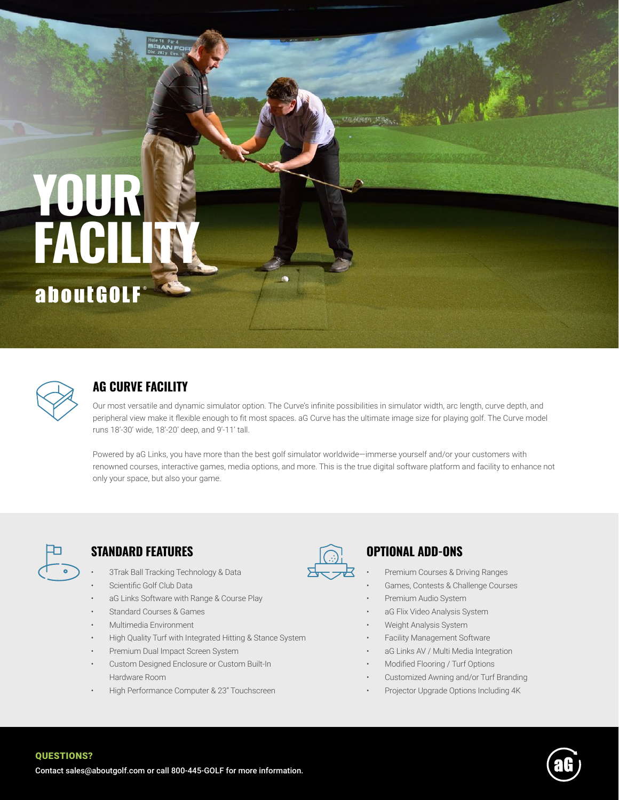# **YOUR FACILITY** aboutGOLF



# **AG CURVE FACILITY**

Our most versatile and dynamic simulator option. The Curve's infinite possibilities in simulator width, arc length, curve depth, and peripheral view make it flexible enough to fit most spaces. aG Curve has the ultimate image size for playing golf. The Curve model runs 18'-30' wide, 18'-20' deep, and 9'-11' tall.

andram stay

Powered by aG Links, you have more than the best golf simulator worldwide—immerse yourself and/or your customers with renowned courses, interactive games, media options, and more. This is the true digital software platform and facility to enhance not only your space, but also your game.



QUESTIONS?

#### **STANDARD FEATURES OPTIONAL ADD-ONS**

- 3Trak Ball Tracking Technology & Data
- Scientific Golf Club Data
- aG Links Software with Range & Course Play
- Standard Courses & Games
- Multimedia Environment
- High Quality Turf with Integrated Hitting & Stance System
- Premium Dual Impact Screen System
- Custom Designed Enclosure or Custom Built-In Hardware Room
- High Performance Computer & 23" Touchscreen



- Premium Courses & Driving Ranges
- Games, Contests & Challenge Courses
- Premium Audio System
- aG Flix Video Analysis System
- Weight Analysis System
- Facility Management Software
- aG Links AV / Multi Media Integration
- Modified Flooring / Turf Options
- Customized Awning and/or Turf Branding
- Projector Upgrade Options Including 4K